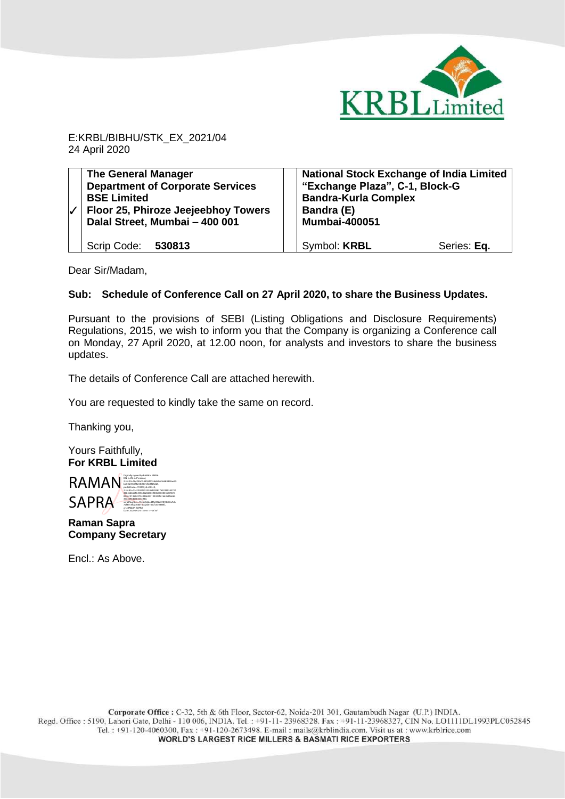

E:KRBL/BIBHU/STK\_EX\_2021/04 24 April 2020

| <b>The General Manager</b><br><b>Department of Corporate Services</b><br><b>BSE Limited</b><br>Floor 25, Phiroze Jeejeebhoy Towers<br>Dalal Street, Mumbai - 400 001 | <b>National Stock Exchange of India Limited</b><br>"Exchange Plaza", C-1, Block-G<br><b>Bandra-Kurla Complex</b><br>Bandra (E)<br><b>Mumbai-400051</b> |             |
|----------------------------------------------------------------------------------------------------------------------------------------------------------------------|--------------------------------------------------------------------------------------------------------------------------------------------------------|-------------|
| Scrip Code: 530813                                                                                                                                                   | Symbol: KRBL                                                                                                                                           | Series: Eq. |

Dear Sir/Madam,

### **Sub: Schedule of Conference Call on 27 April 2020, to share the Business Updates.**

Pursuant to the provisions of SEBI (Listing Obligations and Disclosure Requirements) Regulations, 2015, we wish to inform you that the Company is organizing a Conference call on Monday, 27 April 2020, at 12.00 noon, for analysts and investors to share the business updates.

The details of Conference Call are attached herewith.

You are requested to kindly take the same on record.

Thanking you,

Yours Faithfully, **For KRBL Limited** 



**Raman Sapra Company Secretary**

Encl.: As Above.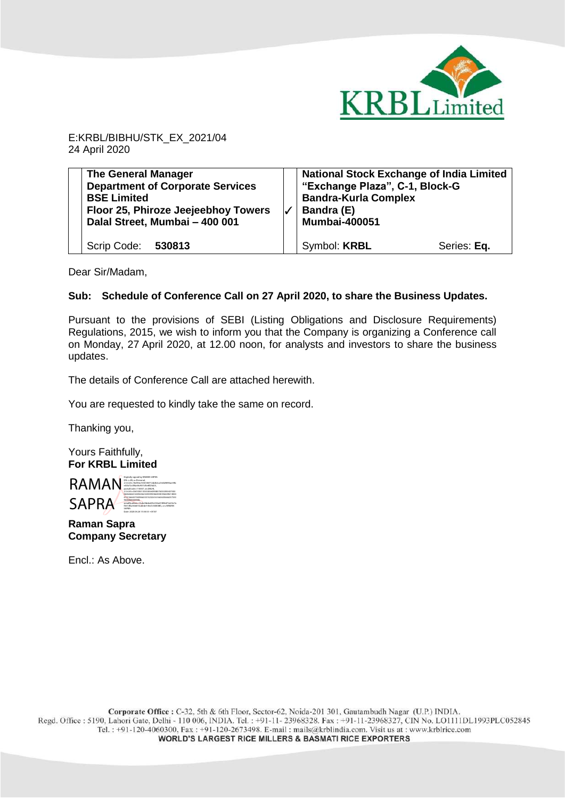

E:KRBL/BIBHU/STK\_EX\_2021/04 24 April 2020

**The General Manager Department of Corporate Services BSE Limited Floor 25, Phiroze Jeejeebhoy Towers Dalal Street, Mumbai – 400 001** Scrip Code: **530813** ✓ **National Stock Exchange of India Limited "Exchange Plaza", C-1, Block-G Bandra-Kurla Complex Bandra (E) Mumbai-400051** Symbol: **KRBL** Series: Eq.

Dear Sir/Madam,

#### **Sub: Schedule of Conference Call on 27 April 2020, to share the Business Updates.**

Pursuant to the provisions of SEBI (Listing Obligations and Disclosure Requirements) Regulations, 2015, we wish to inform you that the Company is organizing a Conference call on Monday, 27 April 2020, at 12.00 noon, for analysts and investors to share the business updates.

The details of Conference Call are attached herewith.

You are requested to kindly take the same on record.

Thanking you,

Yours Faithfully, **For KRBL Limited** 



**Raman Sapra Company Secretary**

Encl.: As Above.